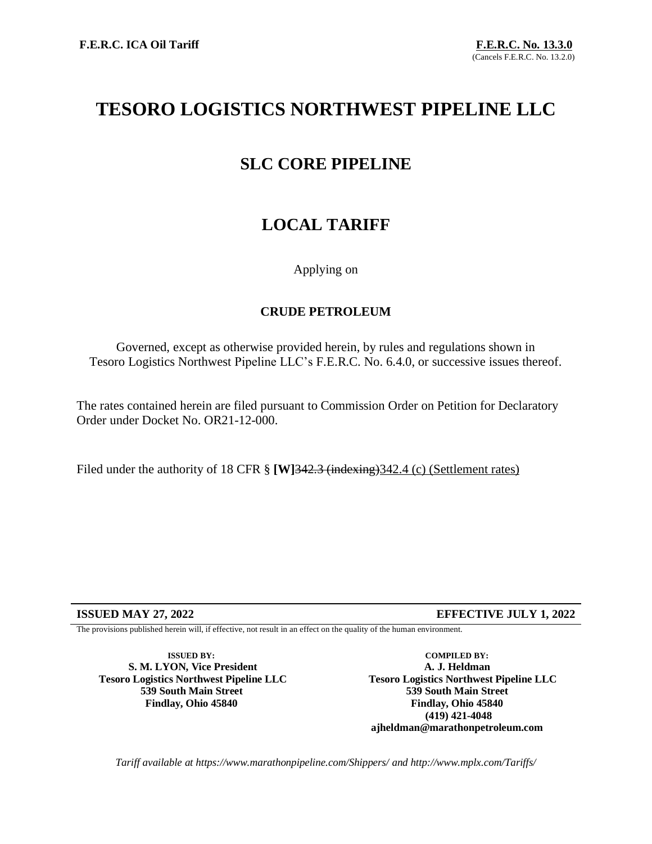# **TESORO LOGISTICS NORTHWEST PIPELINE LLC**

## **SLC CORE PIPELINE**

# **LOCAL TARIFF**

## Applying on

## **CRUDE PETROLEUM**

Governed, except as otherwise provided herein, by rules and regulations shown in Tesoro Logistics Northwest Pipeline LLC's F.E.R.C. No. 6.4.0, or successive issues thereof.

The rates contained herein are filed pursuant to Commission Order on Petition for Declaratory Order under Docket No. OR21-12-000.

Filed under the authority of 18 CFR § **[W]342.3** (indexing) 342.4 (c) (Settlement rates)

**ISSUED MAY 27, 2022 EFFECTIVE JULY 1, 2022**

The provisions published herein will, if effective, not result in an effect on the quality of the human environment.

**ISSUED BY: S. M. LYON, Vice President Tesoro Logistics Northwest Pipeline LLC 539 South Main Street Findlay, Ohio 45840**

**COMPILED BY: A. J. Heldman Tesoro Logistics Northwest Pipeline LLC 539 South Main Street Findlay, Ohio 45840 (419) 421-4048 ajheldman@marathonpetroleum.com**

*Tariff available at https://www.marathonpipeline.com/Shippers/ and http://www.mplx.com/Tariffs/*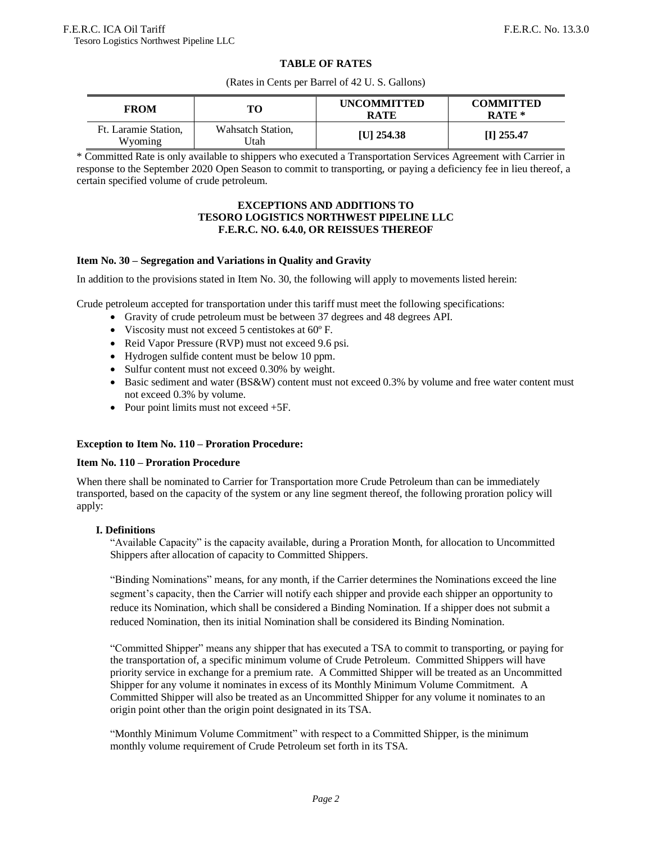#### **TABLE OF RATES**

(Rates in Cents per Barrel of 42 U. S. Gallons)

| <b>FROM</b>                     | TО                        | <b>UNCOMMITTED</b><br><b>RATE</b> | <b>COMMITTED</b><br>$RATE*$ |
|---------------------------------|---------------------------|-----------------------------------|-----------------------------|
| Ft. Laramie Station.<br>Wyoming | Wahsatch Station,<br>Jtah | [U] $254.38$                      | $[I]$ 255.47                |

\* Committed Rate is only available to shippers who executed a Transportation Services Agreement with Carrier in response to the September 2020 Open Season to commit to transporting, or paying a deficiency fee in lieu thereof, a certain specified volume of crude petroleum.

#### **EXCEPTIONS AND ADDITIONS TO TESORO LOGISTICS NORTHWEST PIPELINE LLC F.E.R.C. NO. 6.4.0, OR REISSUES THEREOF**

#### **Item No. 30 – Segregation and Variations in Quality and Gravity**

In addition to the provisions stated in Item No. 30, the following will apply to movements listed herein:

Crude petroleum accepted for transportation under this tariff must meet the following specifications:

- Gravity of crude petroleum must be between 37 degrees and 48 degrees API.
- Viscosity must not exceed 5 centistokes at 60º F.
- Reid Vapor Pressure (RVP) must not exceed 9.6 psi.
- Hydrogen sulfide content must be below 10 ppm.
- Sulfur content must not exceed 0.30% by weight.
- Basic sediment and water (BS&W) content must not exceed 0.3% by volume and free water content must not exceed 0.3% by volume.
- Pour point limits must not exceed  $+5F$ .

#### **Exception to Item No. 110 – Proration Procedure:**

#### **Item No. 110 – Proration Procedure**

When there shall be nominated to Carrier for Transportation more Crude Petroleum than can be immediately transported, based on the capacity of the system or any line segment thereof, the following proration policy will apply:

#### **I. Definitions**

"Available Capacity" is the capacity available, during a Proration Month, for allocation to Uncommitted Shippers after allocation of capacity to Committed Shippers.

"Binding Nominations" means, for any month, if the Carrier determines the Nominations exceed the line segment's capacity, then the Carrier will notify each shipper and provide each shipper an opportunity to reduce its Nomination, which shall be considered a Binding Nomination. If a shipper does not submit a reduced Nomination, then its initial Nomination shall be considered its Binding Nomination.

"Committed Shipper" means any shipper that has executed a TSA to commit to transporting, or paying for the transportation of, a specific minimum volume of Crude Petroleum. Committed Shippers will have priority service in exchange for a premium rate. A Committed Shipper will be treated as an Uncommitted Shipper for any volume it nominates in excess of its Monthly Minimum Volume Commitment. A Committed Shipper will also be treated as an Uncommitted Shipper for any volume it nominates to an origin point other than the origin point designated in its TSA.

"Monthly Minimum Volume Commitment" with respect to a Committed Shipper, is the minimum monthly volume requirement of Crude Petroleum set forth in its TSA.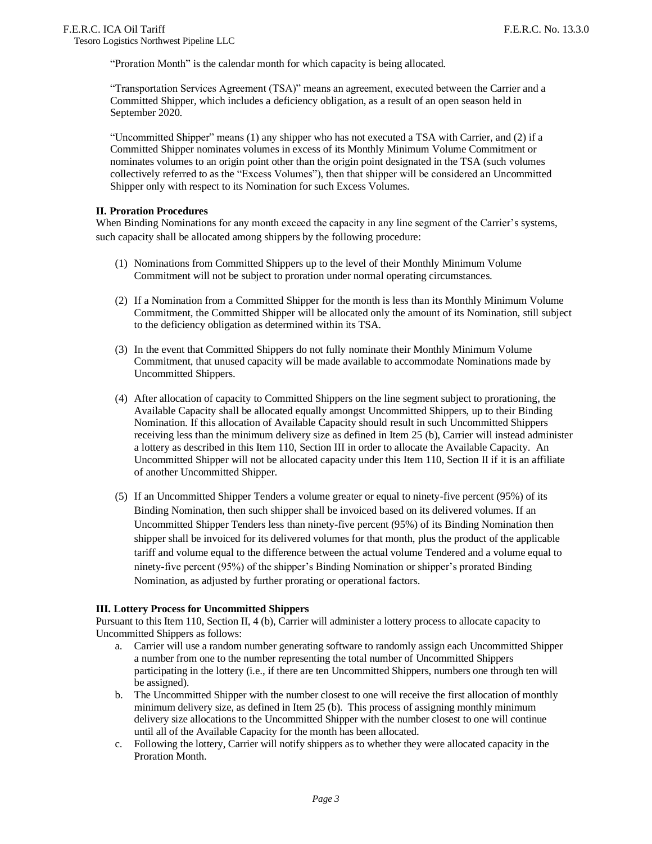"Proration Month" is the calendar month for which capacity is being allocated.

"Transportation Services Agreement (TSA)" means an agreement, executed between the Carrier and a Committed Shipper, which includes a deficiency obligation, as a result of an open season held in September 2020.

"Uncommitted Shipper" means (1) any shipper who has not executed a TSA with Carrier, and (2) if a Committed Shipper nominates volumes in excess of its Monthly Minimum Volume Commitment or nominates volumes to an origin point other than the origin point designated in the TSA (such volumes collectively referred to as the "Excess Volumes"), then that shipper will be considered an Uncommitted Shipper only with respect to its Nomination for such Excess Volumes.

#### **II. Proration Procedures**

When Binding Nominations for any month exceed the capacity in any line segment of the Carrier's systems, such capacity shall be allocated among shippers by the following procedure:

- (1) Nominations from Committed Shippers up to the level of their Monthly Minimum Volume Commitment will not be subject to proration under normal operating circumstances.
- (2) If a Nomination from a Committed Shipper for the month is less than its Monthly Minimum Volume Commitment, the Committed Shipper will be allocated only the amount of its Nomination, still subject to the deficiency obligation as determined within its TSA.
- (3) In the event that Committed Shippers do not fully nominate their Monthly Minimum Volume Commitment, that unused capacity will be made available to accommodate Nominations made by Uncommitted Shippers.
- (4) After allocation of capacity to Committed Shippers on the line segment subject to prorationing, the Available Capacity shall be allocated equally amongst Uncommitted Shippers, up to their Binding Nomination. If this allocation of Available Capacity should result in such Uncommitted Shippers receiving less than the minimum delivery size as defined in Item 25 (b), Carrier will instead administer a lottery as described in this Item 110, Section III in order to allocate the Available Capacity. An Uncommitted Shipper will not be allocated capacity under this Item 110, Section II if it is an affiliate of another Uncommitted Shipper.
- (5) If an Uncommitted Shipper Tenders a volume greater or equal to ninety-five percent (95%) of its Binding Nomination, then such shipper shall be invoiced based on its delivered volumes. If an Uncommitted Shipper Tenders less than ninety-five percent (95%) of its Binding Nomination then shipper shall be invoiced for its delivered volumes for that month, plus the product of the applicable tariff and volume equal to the difference between the actual volume Tendered and a volume equal to ninety-five percent (95%) of the shipper's Binding Nomination or shipper's prorated Binding Nomination, as adjusted by further prorating or operational factors.

#### **III. Lottery Process for Uncommitted Shippers**

Pursuant to this Item 110, Section II, 4 (b), Carrier will administer a lottery process to allocate capacity to Uncommitted Shippers as follows:

- a. Carrier will use a random number generating software to randomly assign each Uncommitted Shipper a number from one to the number representing the total number of Uncommitted Shippers participating in the lottery (i.e., if there are ten Uncommitted Shippers, numbers one through ten will be assigned).
- b. The Uncommitted Shipper with the number closest to one will receive the first allocation of monthly minimum delivery size, as defined in Item 25 (b). This process of assigning monthly minimum delivery size allocations to the Uncommitted Shipper with the number closest to one will continue until all of the Available Capacity for the month has been allocated.
- c. Following the lottery, Carrier will notify shippers as to whether they were allocated capacity in the Proration Month.